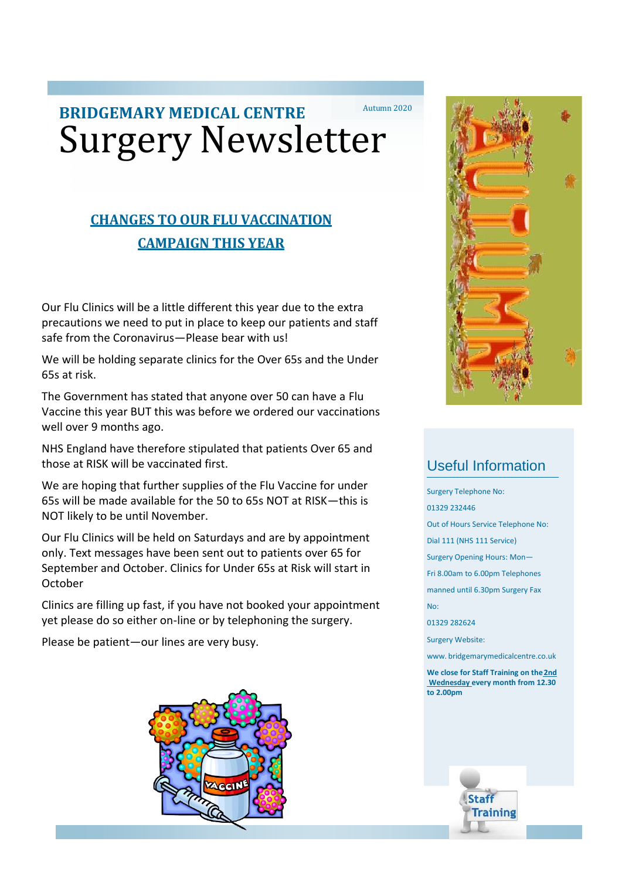# **BRIDGEMARY MEDICAL CENTRE** Autumn 2020 Surgery Newsletter

## **CHANGES TO OUR FLU VACCINATION CAMPAIGN THIS YEAR**

Our Flu Clinics will be a little different this year due to the extra precautions we need to put in place to keep our patients and staff safe from the Coronavirus—Please bear with us!

We will be holding separate clinics for the Over 65s and the Under 65s at risk.

The Government has stated that anyone over 50 can have a Flu Vaccine this year BUT this was before we ordered our vaccinations well over 9 months ago.

NHS England have therefore stipulated that patients Over 65 and those at RISK will be vaccinated first.

We are hoping that further supplies of the Flu Vaccine for under 65s will be made available for the 50 to 65s NOT at RISK—this is NOT likely to be until November.

Our Flu Clinics will be held on Saturdays and are by appointment only. Text messages have been sent out to patients over 65 for September and October. Clinics for Under 65s at Risk will start in October

Clinics are filling up fast, if you have not booked your appointment yet please do so either on-line or by telephoning the surgery.

Please be patient—our lines are very busy.





## Useful Information

Surgery Telephone No:

01329 232446

Out of Hours Service Telephone No:

Dial 111 (NHS 111 Service)

Surgery Opening Hours: Mon—

Fri 8.00am to 6.00pm Telephones

manned until 6.30pm Surgery Fax

No:

01329 282624

Surgery Website:

[www.](http://www/) bridgemarymedicalcentre.co.uk

**We close for Staff Training on the2nd Wednesday every month from 12.30 to 2.00pm**